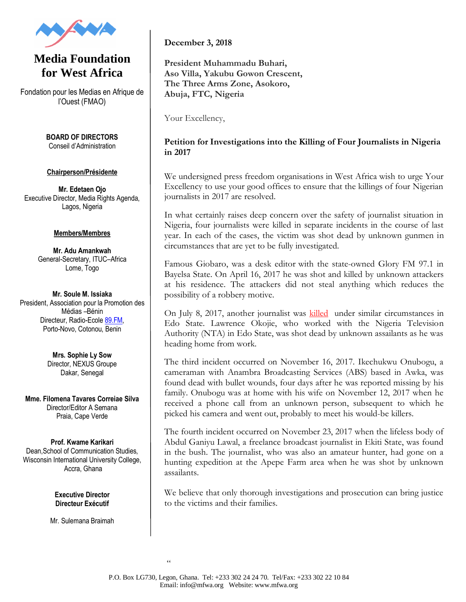

## **Media Foundation for West Africa**

Fondation pour les Medias en Afrique de l'Ouest (FMAO)

> **BOARD OF DIRECTORS** Conseil d'Administration

## **Chairperson/Présidente**

**Mr. Edetaen Ojo** Executive Director, Media Rights Agenda, Lagos, Nigeria

## **Members/Membres**

**Mr. Adu Amankwah** General-Secretary, ITUC–Africa Lome, Togo

**Mr. Soule M. Issiaka** President, Association pour la Promotion des Médias –Bénin Directeur, Radio-Ecol[e 89.FM,](http://89.fm/) Porto-Novo, Cotonou, Benin

> **Mrs. Sophie Ly Sow** Director, NEXUS Groupe Dakar, Senegal

**Mme. Filomena Tavares Correiae Silva** Director/Editor A Semana Praia, Cape Verde

**Prof. Kwame Karikari** Dean,School of Communication Studies, Wisconsin International University College, Accra, Ghana

> **Executive Director Directeur Exécutif**

Mr. Sulemana Braimah

**December 3, 2018**

**President Muhammadu Buhari, Aso Villa, Yakubu Gowon Crescent, The Three Arms Zone, Asokoro, Abuja, FTC, Nigeria**

Your Excellency,

## **Petition for Investigations into the Killing of Four Journalists in Nigeria in 2017**

We undersigned press freedom organisations in West Africa wish to urge Your Excellency to use your good offices to ensure that the killings of four Nigerian journalists in 2017 are resolved.

In what certainly raises deep concern over the safety of journalist situation in Nigeria, four journalists were killed in separate incidents in the course of last year. In each of the cases, the victim was shot dead by unknown gunmen in circumstances that are yet to be fully investigated.

Famous Giobaro, was a desk editor with the state-owned Glory FM 97.1 in Bayelsa State. On April 16, 2017 he was shot and killed by unknown attackers at his residence. The attackers did not steal anything which reduces the possibility of a robbery motive.

On July 8, 2017, another journalist was [killed](http://www.mfwa.org/journalist-murdered/) under similar circumstances in Edo State. Lawrence Okojie, who worked with the Nigeria Television Authority (NTA) in Edo State, was shot dead by unknown assailants as he was heading home from work.

The third incident occurred on November 16, 2017. Ikechukwu Onubogu, a cameraman with Anambra Broadcasting Services (ABS) based in Awka, was found dead with bullet wounds, four days after he was reported missing by his family. Onubogu was at home with his wife on November 12, 2017 when he received a phone call from an unknown person, subsequent to which he picked his camera and went out, probably to meet his would-be killers.

The fourth incident occurred on November 23, 2017 when the lifeless body of Abdul Ganiyu Lawal, a freelance broadcast journalist in Ekiti State, was found in the bush. The journalist, who was also an amateur hunter, had gone on a hunting expedition at the Apepe Farm area when he was shot by unknown assailants.

We believe that only thorough investigations and prosecution can bring justice to the victims and their families.

 $\epsilon$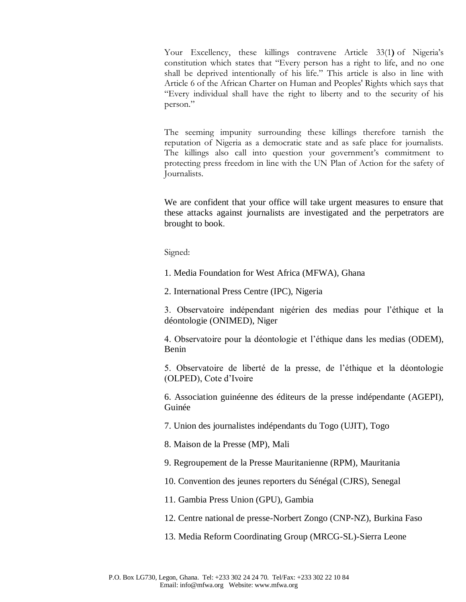Your Excellency, these killings contravene Article 33(1**)** of Nigeria's constitution which states that "Every person has a right to life, and no one shall be deprived intentionally of his life." This article is also in line with Article 6 of the African Charter on Human and Peoples' Rights which says that "Every individual shall have the right to liberty and to the security of his person."

The seeming impunity surrounding these killings therefore tarnish the reputation of Nigeria as a democratic state and as safe place for journalists. The killings also call into question your government's commitment to protecting press freedom in line with the UN Plan of Action for the safety of Journalists.

We are confident that your office will take urgent measures to ensure that these attacks against journalists are investigated and the perpetrators are brought to book.

Signed:

1. Media Foundation for West Africa (MFWA), Ghana

2. International Press Centre (IPC), Nigeria

3. Observatoire indépendant nigérien des medias pour l'éthique et la déontologie (ONIMED), Niger

4. Observatoire pour la déontologie et l'éthique dans les medias (ODEM), Benin

5. Observatoire de liberté de la presse, de l'éthique et la déontologie (OLPED), Cote d'Ivoire

6. Association guinéenne des éditeurs de la presse indépendante (AGEPI), Guinée

7. Union des journalistes indépendants du Togo (UJIT), Togo

8. Maison de la Presse (MP), Mali

9. Regroupement de la Presse Mauritanienne (RPM), Mauritania

10. Convention des jeunes reporters du Sénégal (CJRS), Senegal

11. Gambia Press Union (GPU), Gambia

12. Centre national de presse-Norbert Zongo (CNP-NZ), Burkina Faso

13. Media Reform Coordinating Group (MRCG-SL)-Sierra Leone